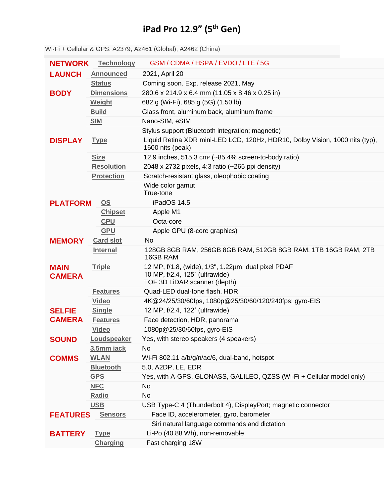## **iPad Pro 12.9" (5 th Gen)**

**NETWORK [Technology](https://www.gsmarena.com/network-bands.php3)** GSM / [CDMA](https://www.gsmarena.com/apple_ipad_pro_12_9_(2021)-10864.php) / HSPA / EVDO / LTE / 5G **LAUNCH [Announced](https://www.gsmarena.com/glossary.php3?term=phone-life-cycle)** 2021, April 20 **[Status](https://www.gsmarena.com/glossary.php3?term=phone-life-cycle)** Coming soon. Exp. release 2021, May **BODY [Dimensions](https://www.gsmarena.com/apple_ipad_pro_12_9_(2021)-10864.php)** 280.6 x 214.9 x 6.4 mm (11.05 x 8.46 x 0.25 in) **[Weight](https://www.gsmarena.com/apple_ipad_pro_12_9_(2021)-10864.php)** 682 g (Wi-Fi), 685 g (5G) (1.50 lb) **[Build](https://www.gsmarena.com/glossary.php3?term=build)** Glass front, aluminum back, aluminum frame **[SIM](https://www.gsmarena.com/glossary.php3?term=sim)** Nano-SIM, eSIM Stylus support (Bluetooth integration; magnetic) **DISPLAY [Type](https://www.gsmarena.com/glossary.php3?term=display-type)** Liquid Retina XDR mini-LED LCD, 120Hz, HDR10, Dolby Vision, 1000 nits (typ), 1600 nits (peak) **[Size](https://www.gsmarena.com/apple_ipad_pro_12_9_(2021)-10864.php)** 12.9 inches, 515.3 cm<sup>2</sup> (~85.4% screen-to-body ratio) **[Resolution](https://www.gsmarena.com/glossary.php3?term=resolution)** 2048 x 2732 pixels, 4:3 ratio (~265 ppi density) **[Protection](https://www.gsmarena.com/glossary.php3?term=screen-protection)** Scratch-resistant glass, oleophobic coating Wide color gamut True-tone **PLATFORM [OS](https://www.gsmarena.com/glossary.php3?term=os)** iPadOS 14.5 **[Chipset](https://www.gsmarena.com/glossary.php3?term=chipset)** Apple M1 **[CPU](https://www.gsmarena.com/glossary.php3?term=cpu)** Octa-core **[GPU](https://www.gsmarena.com/glossary.php3?term=gpu)** Apple GPU (8-core graphics) **MEMORY [Card](https://www.gsmarena.com/glossary.php3?term=memory-card-slot) slot** No **[Internal](https://www.gsmarena.com/glossary.php3?term=dynamic-memory)** 128GB 8GB RAM, 256GB 8GB RAM, 512GB 8GB RAM, 1TB 16GB RAM, 2TB 16GB RAM **MAIN CAMERA [Triple](https://www.gsmarena.com/glossary.php3?term=camera)** 12 MP, f/1.8, (wide), 1/3", 1.22µm, dual pixel PDAF 10 MP, f/2.4, 125˚ (ultrawide) TOF 3D LiDAR scanner (depth) **[Features](https://www.gsmarena.com/glossary.php3?term=camera)** Quad-LED dual-tone flash, HDR **[Video](https://www.gsmarena.com/glossary.php3?term=camera)** 4K@24/25/30/60fps, 1080p@25/30/60/120/240fps; gyro-EIS **SELFIE CAMERA [Single](https://www.gsmarena.com/glossary.php3?term=secondary-camera)** 12 MP, f/2.4, 122˚ (ultrawide) **[Features](https://www.gsmarena.com/glossary.php3?term=secondary-camera)** Face detection, HDR, panorama **[Video](https://www.gsmarena.com/glossary.php3?term=secondary-camera)** 1080p@25/30/60fps, gyro-EIS **SOUND** [Loudspeaker](https://www.gsmarena.com/glossary.php3?term=loudspeaker) Yes, with stereo speakers (4 speakers) **[3.5mm](https://www.gsmarena.com/glossary.php3?term=audio-jack) jack** No **COMMS [WLAN](https://www.gsmarena.com/glossary.php3?term=wi-fi)** Wi-Fi 802.11 a/b/g/n/ac/6, dual-band, hotspot **[Bluetooth](https://www.gsmarena.com/glossary.php3?term=bluetooth)** 5.0, A2DP, LE, EDR **[GPS](https://www.gsmarena.com/glossary.php3?term=gps)** Yes, with A-GPS, GLONASS, GALILEO, QZSS (Wi-Fi + Cellular model only) **[NFC](https://www.gsmarena.com/glossary.php3?term=nfc)** No **[Radio](https://www.gsmarena.com/glossary.php3?term=fm-radio)** No **[USB](https://www.gsmarena.com/glossary.php3?term=usb)** USB Type-C 4 (Thunderbolt 4), DisplayPort; magnetic connector **FEATURES [Sensors](https://www.gsmarena.com/glossary.php3?term=sensors)** Face ID, accelerometer, gyro, barometer Siri natural language commands and dictation **BATTERY [Type](https://www.gsmarena.com/glossary.php3?term=rechargeable-battery-types)** Li-Po (40.88 Wh), non-removable **[Charging](https://www.gsmarena.com/glossary.php3?term=battery-charging)** Fast charging 18W

Wi-Fi + Cellular & GPS: A2379, A2461 (Global); A2462 (China)